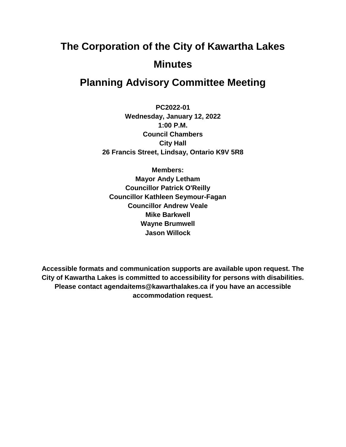# **The Corporation of the City of Kawartha Lakes Minutes**

# **Planning Advisory Committee Meeting**

**PC2022-01 Wednesday, January 12, 2022 1:00 P.M. Council Chambers City Hall 26 Francis Street, Lindsay, Ontario K9V 5R8**

**Members: Mayor Andy Letham Councillor Patrick O'Reilly Councillor Kathleen Seymour-Fagan Councillor Andrew Veale Mike Barkwell Wayne Brumwell Jason Willock**

**Accessible formats and communication supports are available upon request. The City of Kawartha Lakes is committed to accessibility for persons with disabilities. Please contact agendaitems@kawarthalakes.ca if you have an accessible accommodation request.**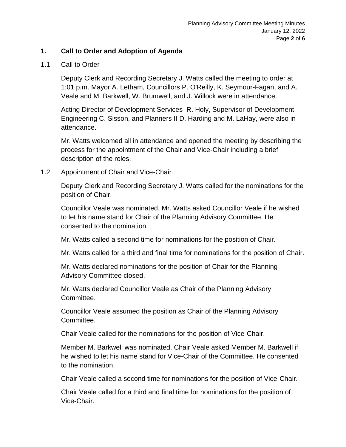# **1. Call to Order and Adoption of Agenda**

#### 1.1 Call to Order

Deputy Clerk and Recording Secretary J. Watts called the meeting to order at 1:01 p.m. Mayor A. Letham, Councillors P. O'Reilly, K. Seymour-Fagan, and A. Veale and M. Barkwell, W. Brumwell, and J. Willock were in attendance.

Acting Director of Development Services R. Holy, Supervisor of Development Engineering C. Sisson, and Planners II D. Harding and M. LaHay, were also in attendance.

Mr. Watts welcomed all in attendance and opened the meeting by describing the process for the appointment of the Chair and Vice-Chair including a brief description of the roles.

#### 1.2 Appointment of Chair and Vice-Chair

Deputy Clerk and Recording Secretary J. Watts called for the nominations for the position of Chair.

Councillor Veale was nominated. Mr. Watts asked Councillor Veale if he wished to let his name stand for Chair of the Planning Advisory Committee. He consented to the nomination.

Mr. Watts called a second time for nominations for the position of Chair.

Mr. Watts called for a third and final time for nominations for the position of Chair.

Mr. Watts declared nominations for the position of Chair for the Planning Advisory Committee closed.

Mr. Watts declared Councillor Veale as Chair of the Planning Advisory Committee.

Councillor Veale assumed the position as Chair of the Planning Advisory Committee.

Chair Veale called for the nominations for the position of Vice-Chair.

Member M. Barkwell was nominated. Chair Veale asked Member M. Barkwell if he wished to let his name stand for Vice-Chair of the Committee. He consented to the nomination.

Chair Veale called a second time for nominations for the position of Vice-Chair.

Chair Veale called for a third and final time for nominations for the position of Vice-Chair.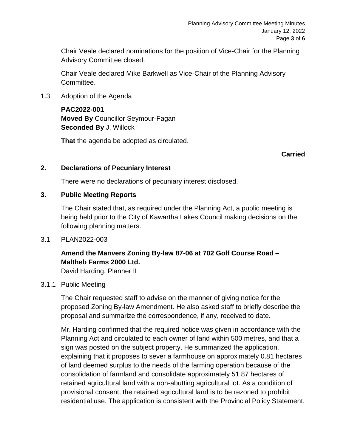Chair Veale declared nominations for the position of Vice-Chair for the Planning Advisory Committee closed.

Chair Veale declared Mike Barkwell as Vice-Chair of the Planning Advisory Committee.

1.3 Adoption of the Agenda

#### **PAC2022-001**

**Moved By** Councillor Seymour-Fagan **Seconded By** J. Willock

**That** the agenda be adopted as circulated.

#### **Carried**

# **2. Declarations of Pecuniary Interest**

There were no declarations of pecuniary interest disclosed.

# **3. Public Meeting Reports**

The Chair stated that, as required under the Planning Act, a public meeting is being held prior to the City of Kawartha Lakes Council making decisions on the following planning matters.

3.1 PLAN2022-003

# **Amend the Manvers Zoning By-law 87-06 at 702 Golf Course Road – Maltheb Farms 2000 Ltd.**

David Harding, Planner II

#### 3.1.1 Public Meeting

The Chair requested staff to advise on the manner of giving notice for the proposed Zoning By-law Amendment. He also asked staff to briefly describe the proposal and summarize the correspondence, if any, received to date.

Mr. Harding confirmed that the required notice was given in accordance with the Planning Act and circulated to each owner of land within 500 metres, and that a sign was posted on the subject property. He summarized the application, explaining that it proposes to sever a farmhouse on approximately 0.81 hectares of land deemed surplus to the needs of the farming operation because of the consolidation of farmland and consolidate approximately 51.87 hectares of retained agricultural land with a non-abutting agricultural lot. As a condition of provisional consent, the retained agricultural land is to be rezoned to prohibit residential use. The application is consistent with the Provincial Policy Statement,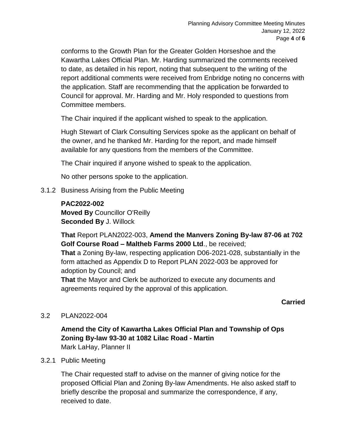conforms to the Growth Plan for the Greater Golden Horseshoe and the Kawartha Lakes Official Plan. Mr. Harding summarized the comments received to date, as detailed in his report, noting that subsequent to the writing of the report additional comments were received from Enbridge noting no concerns with the application. Staff are recommending that the application be forwarded to Council for approval. Mr. Harding and Mr. Holy responded to questions from Committee members.

The Chair inquired if the applicant wished to speak to the application.

Hugh Stewart of Clark Consulting Services spoke as the applicant on behalf of the owner, and he thanked Mr. Harding for the report, and made himself available for any questions from the members of the Committee.

The Chair inquired if anyone wished to speak to the application.

No other persons spoke to the application.

3.1.2 Business Arising from the Public Meeting

#### **PAC2022-002**

**Moved By** Councillor O'Reilly **Seconded By** J. Willock

**That** Report PLAN2022-003, **Amend the Manvers Zoning By-law 87-06 at 702 Golf Course Road – Maltheb Farms 2000 Ltd**., be received;

**That** a Zoning By-law, respecting application D06-2021-028, substantially in the form attached as Appendix D to Report PLAN 2022-003 be approved for adoption by Council; and

**That** the Mayor and Clerk be authorized to execute any documents and agreements required by the approval of this application.

# **Carried**

# 3.2 PLAN2022-004

**Amend the City of Kawartha Lakes Official Plan and Township of Ops Zoning By-law 93-30 at 1082 Lilac Road - Martin** Mark LaHay, Planner II

#### 3.2.1 Public Meeting

The Chair requested staff to advise on the manner of giving notice for the proposed Official Plan and Zoning By-law Amendments. He also asked staff to briefly describe the proposal and summarize the correspondence, if any, received to date.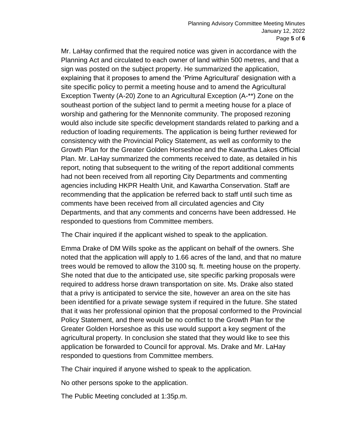Mr. LaHay confirmed that the required notice was given in accordance with the Planning Act and circulated to each owner of land within 500 metres, and that a sign was posted on the subject property. He summarized the application, explaining that it proposes to amend the 'Prime Agricultural' designation with a site specific policy to permit a meeting house and to amend the Agricultural Exception Twenty (A-20) Zone to an Agricultural Exception (A-\*\*) Zone on the southeast portion of the subject land to permit a meeting house for a place of worship and gathering for the Mennonite community. The proposed rezoning would also include site specific development standards related to parking and a reduction of loading requirements. The application is being further reviewed for consistency with the Provincial Policy Statement, as well as conformity to the Growth Plan for the Greater Golden Horseshoe and the Kawartha Lakes Official Plan. Mr. LaHay summarized the comments received to date, as detailed in his report, noting that subsequent to the writing of the report additional comments had not been received from all reporting City Departments and commenting agencies including HKPR Health Unit, and Kawartha Conservation. Staff are recommending that the application be referred back to staff until such time as comments have been received from all circulated agencies and City Departments, and that any comments and concerns have been addressed. He responded to questions from Committee members.

The Chair inquired if the applicant wished to speak to the application.

Emma Drake of DM Wills spoke as the applicant on behalf of the owners. She noted that the application will apply to 1.66 acres of the land, and that no mature trees would be removed to allow the 3100 sq. ft. meeting house on the property. She noted that due to the anticipated use, site specific parking proposals were required to address horse drawn transportation on site. Ms. Drake also stated that a privy is anticipated to service the site, however an area on the site has been identified for a private sewage system if required in the future. She stated that it was her professional opinion that the proposal conformed to the Provincial Policy Statement, and there would be no conflict to the Growth Plan for the Greater Golden Horseshoe as this use would support a key segment of the agricultural property. In conclusion she stated that they would like to see this application be forwarded to Council for approval. Ms. Drake and Mr. LaHay responded to questions from Committee members.

The Chair inquired if anyone wished to speak to the application.

No other persons spoke to the application.

The Public Meeting concluded at 1:35p.m.